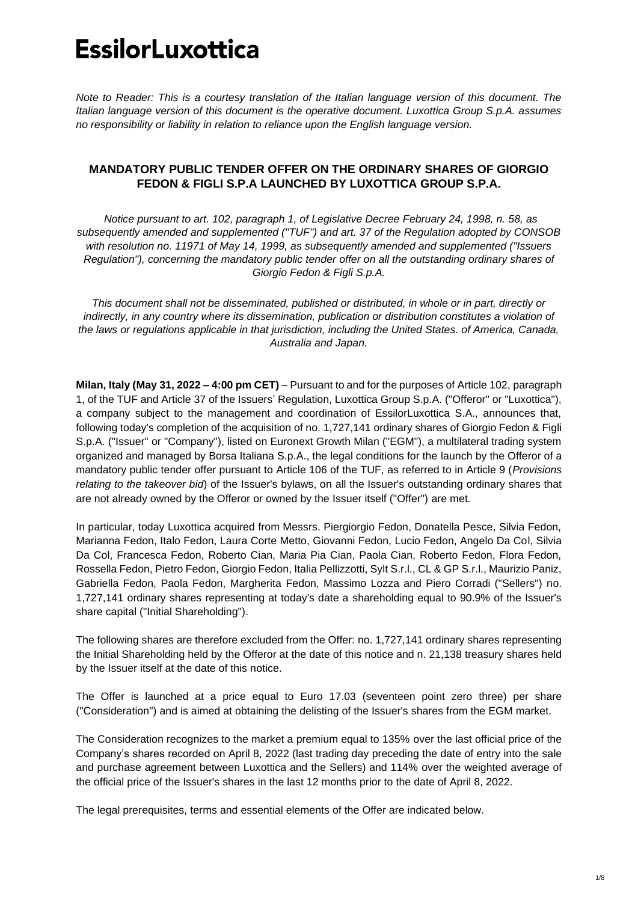*Note to Reader: This is a courtesy translation of the Italian language version of this document. The Italian language version of this document is the operative document. Luxottica Group S.p.A. assumes no responsibility or liability in relation to reliance upon the English language version.*

## **MANDATORY PUBLIC TENDER OFFER ON THE ORDINARY SHARES OF GIORGIO FEDON & FIGLI S.P.A LAUNCHED BY LUXOTTICA GROUP S.P.A.**

*Notice pursuant to art. 102, paragraph 1, of Legislative Decree February 24, 1998, n. 58, as subsequently amended and supplemented ("TUF") and art. 37 of the Regulation adopted by CONSOB with resolution no. 11971 of May 14, 1999, as subsequently amended and supplemented ("Issuers Regulation"), concerning the mandatory public tender offer on all the outstanding ordinary shares of Giorgio Fedon & Figli S.p.A.*

*This document shall not be disseminated, published or distributed, in whole or in part, directly or indirectly, in any country where its dissemination, publication or distribution constitutes a violation of the laws or regulations applicable in that jurisdiction, including the United States. of America, Canada, Australia and Japan.*

**Milan, Italy (May 31, 2022 – 4:00 pm CET)** – Pursuant to and for the purposes of Article 102, paragraph 1, of the TUF and Article 37 of the Issuers' Regulation, Luxottica Group S.p.A. ("Offeror" or "Luxottica"), a company subject to the management and coordination of EssilorLuxottica S.A., announces that, following today's completion of the acquisition of no. 1,727,141 ordinary shares of Giorgio Fedon & Figli S.p.A. ("Issuer" or "Company"), listed on Euronext Growth Milan ("EGM"), a multilateral trading system organized and managed by Borsa Italiana S.p.A., the legal conditions for the launch by the Offeror of a mandatory public tender offer pursuant to Article 106 of the TUF, as referred to in Article 9 (*Provisions relating to the takeover bid*) of the Issuer's bylaws, on all the Issuer's outstanding ordinary shares that are not already owned by the Offeror or owned by the Issuer itself ("Offer") are met.

In particular, today Luxottica acquired from Messrs. Piergiorgio Fedon, Donatella Pesce, Silvia Fedon, Marianna Fedon, Italo Fedon, Laura Corte Metto, Giovanni Fedon, Lucio Fedon, Angelo Da Col, Silvia Da Col, Francesca Fedon, Roberto Cian, Maria Pia Cian, Paola Cian, Roberto Fedon, Flora Fedon, Rossella Fedon, Pietro Fedon, Giorgio Fedon, Italia Pellizzotti, Sylt S.r.l., CL & GP S.r.l., Maurizio Paniz, Gabriella Fedon, Paola Fedon, Margherita Fedon, Massimo Lozza and Piero Corradi ("Sellers") no. 1,727,141 ordinary shares representing at today's date a shareholding equal to 90.9% of the Issuer's share capital ("Initial Shareholding").

The following shares are therefore excluded from the Offer: no. 1,727,141 ordinary shares representing the Initial Shareholding held by the Offeror at the date of this notice and n. 21,138 treasury shares held by the Issuer itself at the date of this notice.

The Offer is launched at a price equal to Euro 17.03 (seventeen point zero three) per share ("Consideration") and is aimed at obtaining the delisting of the Issuer's shares from the EGM market.

The Consideration recognizes to the market a premium equal to 135% over the last official price of the Company's shares recorded on April 8, 2022 (last trading day preceding the date of entry into the sale and purchase agreement between Luxottica and the Sellers) and 114% over the weighted average of the official price of the Issuer's shares in the last 12 months prior to the date of April 8, 2022.

The legal prerequisites, terms and essential elements of the Offer are indicated below.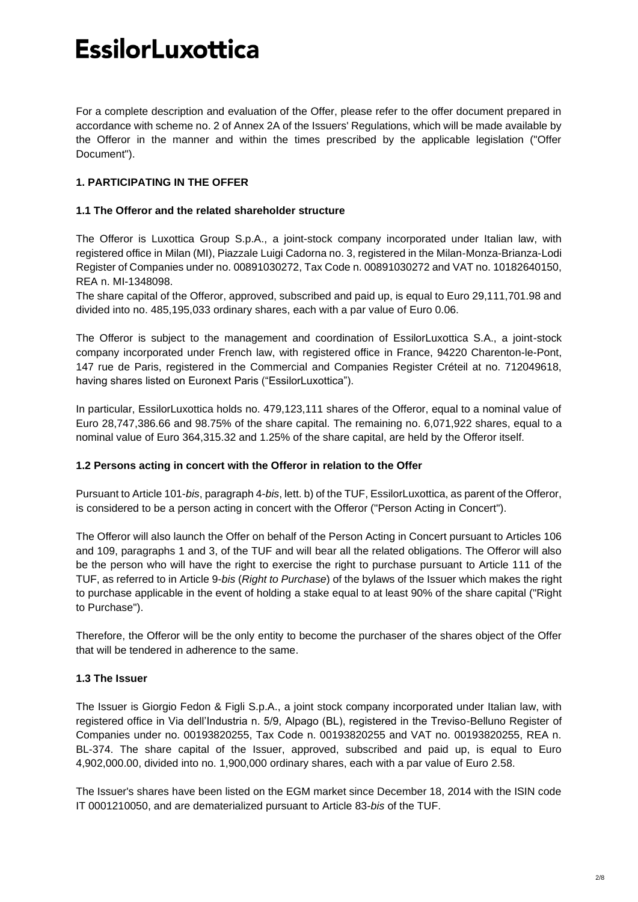For a complete description and evaluation of the Offer, please refer to the offer document prepared in accordance with scheme no. 2 of Annex 2A of the Issuers' Regulations, which will be made available by the Offeror in the manner and within the times prescribed by the applicable legislation ("Offer Document").

## **1. PARTICIPATING IN THE OFFER**

### **1.1 The Offeror and the related shareholder structure**

The Offeror is Luxottica Group S.p.A., a joint-stock company incorporated under Italian law, with registered office in Milan (MI), Piazzale Luigi Cadorna no. 3, registered in the Milan-Monza-Brianza-Lodi Register of Companies under no. 00891030272, Tax Code n. 00891030272 and VAT no. 10182640150, REA n. MI-1348098.

The share capital of the Offeror, approved, subscribed and paid up, is equal to Euro 29,111,701.98 and divided into no. 485,195,033 ordinary shares, each with a par value of Euro 0.06.

The Offeror is subject to the management and coordination of EssilorLuxottica S.A., a joint-stock company incorporated under French law, with registered office in France, 94220 Charenton-le-Pont, 147 rue de Paris, registered in the Commercial and Companies Register Créteil at no. 712049618, having shares listed on Euronext Paris ("EssilorLuxottica").

In particular, EssilorLuxottica holds no. 479,123,111 shares of the Offeror, equal to a nominal value of Euro 28,747,386.66 and 98.75% of the share capital. The remaining no. 6,071,922 shares, equal to a nominal value of Euro 364,315.32 and 1.25% of the share capital, are held by the Offeror itself.

### **1.2 Persons acting in concert with the Offeror in relation to the Offer**

Pursuant to Article 101-*bis*, paragraph 4-*bis*, lett. b) of the TUF, EssilorLuxottica, as parent of the Offeror, is considered to be a person acting in concert with the Offeror ("Person Acting in Concert").

The Offeror will also launch the Offer on behalf of the Person Acting in Concert pursuant to Articles 106 and 109, paragraphs 1 and 3, of the TUF and will bear all the related obligations. The Offeror will also be the person who will have the right to exercise the right to purchase pursuant to Article 111 of the TUF, as referred to in Article 9-*bis* (*Right to Purchase*) of the bylaws of the Issuer which makes the right to purchase applicable in the event of holding a stake equal to at least 90% of the share capital ("Right to Purchase").

Therefore, the Offeror will be the only entity to become the purchaser of the shares object of the Offer that will be tendered in adherence to the same.

## **1.3 The Issuer**

The Issuer is Giorgio Fedon & Figli S.p.A., a joint stock company incorporated under Italian law, with registered office in Via dell'Industria n. 5/9, Alpago (BL), registered in the Treviso-Belluno Register of Companies under no. 00193820255, Tax Code n. 00193820255 and VAT no. 00193820255, REA n. BL-374. The share capital of the Issuer, approved, subscribed and paid up, is equal to Euro 4,902,000.00, divided into no. 1,900,000 ordinary shares, each with a par value of Euro 2.58.

The Issuer's shares have been listed on the EGM market since December 18, 2014 with the ISIN code IT 0001210050, and are dematerialized pursuant to Article 83-*bis* of the TUF.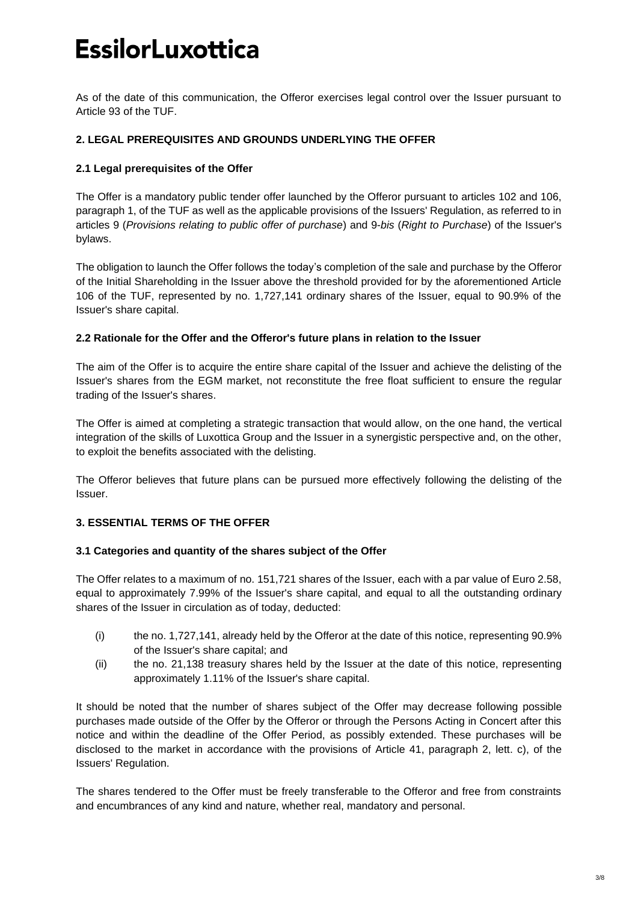As of the date of this communication, the Offeror exercises legal control over the Issuer pursuant to Article 93 of the TUF.

### **2. LEGAL PREREQUISITES AND GROUNDS UNDERLYING THE OFFER**

### **2.1 Legal prerequisites of the Offer**

The Offer is a mandatory public tender offer launched by the Offeror pursuant to articles 102 and 106, paragraph 1, of the TUF as well as the applicable provisions of the Issuers' Regulation, as referred to in articles 9 (*Provisions relating to public offer of purchase*) and 9-*bis* (*Right to Purchase*) of the Issuer's bylaws.

The obligation to launch the Offer follows the today's completion of the sale and purchase by the Offeror of the Initial Shareholding in the Issuer above the threshold provided for by the aforementioned Article 106 of the TUF, represented by no. 1,727,141 ordinary shares of the Issuer, equal to 90.9% of the Issuer's share capital.

### **2.2 Rationale for the Offer and the Offeror's future plans in relation to the Issuer**

The aim of the Offer is to acquire the entire share capital of the Issuer and achieve the delisting of the Issuer's shares from the EGM market, not reconstitute the free float sufficient to ensure the regular trading of the Issuer's shares.

The Offer is aimed at completing a strategic transaction that would allow, on the one hand, the vertical integration of the skills of Luxottica Group and the Issuer in a synergistic perspective and, on the other, to exploit the benefits associated with the delisting.

The Offeror believes that future plans can be pursued more effectively following the delisting of the Issuer.

### **3. ESSENTIAL TERMS OF THE OFFER**

### **3.1 Categories and quantity of the shares subject of the Offer**

The Offer relates to a maximum of no. 151,721 shares of the Issuer, each with a par value of Euro 2.58, equal to approximately 7.99% of the Issuer's share capital, and equal to all the outstanding ordinary shares of the Issuer in circulation as of today, deducted:

- (i) the no. 1,727,141, already held by the Offeror at the date of this notice, representing 90.9% of the Issuer's share capital; and
- (ii) the no. 21,138 treasury shares held by the Issuer at the date of this notice, representing approximately 1.11% of the Issuer's share capital.

It should be noted that the number of shares subject of the Offer may decrease following possible purchases made outside of the Offer by the Offeror or through the Persons Acting in Concert after this notice and within the deadline of the Offer Period, as possibly extended. These purchases will be disclosed to the market in accordance with the provisions of Article 41, paragraph 2, lett. c), of the Issuers' Regulation.

The shares tendered to the Offer must be freely transferable to the Offeror and free from constraints and encumbrances of any kind and nature, whether real, mandatory and personal.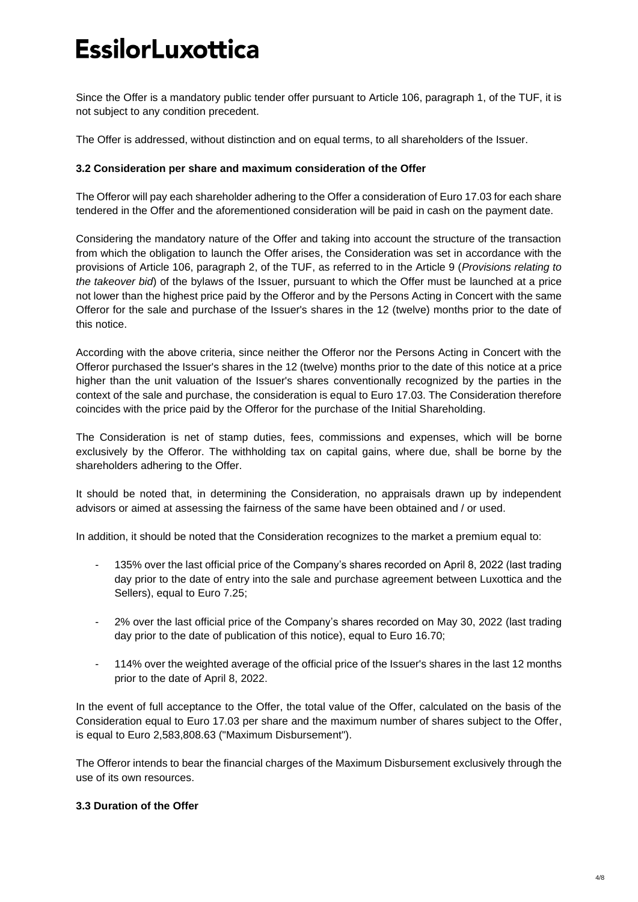Since the Offer is a mandatory public tender offer pursuant to Article 106, paragraph 1, of the TUF, it is not subject to any condition precedent.

The Offer is addressed, without distinction and on equal terms, to all shareholders of the Issuer.

### **3.2 Consideration per share and maximum consideration of the Offer**

The Offeror will pay each shareholder adhering to the Offer a consideration of Euro 17.03 for each share tendered in the Offer and the aforementioned consideration will be paid in cash on the payment date.

Considering the mandatory nature of the Offer and taking into account the structure of the transaction from which the obligation to launch the Offer arises, the Consideration was set in accordance with the provisions of Article 106, paragraph 2, of the TUF, as referred to in the Article 9 (*Provisions relating to the takeover bid*) of the bylaws of the Issuer, pursuant to which the Offer must be launched at a price not lower than the highest price paid by the Offeror and by the Persons Acting in Concert with the same Offeror for the sale and purchase of the Issuer's shares in the 12 (twelve) months prior to the date of this notice.

According with the above criteria, since neither the Offeror nor the Persons Acting in Concert with the Offeror purchased the Issuer's shares in the 12 (twelve) months prior to the date of this notice at a price higher than the unit valuation of the Issuer's shares conventionally recognized by the parties in the context of the sale and purchase, the consideration is equal to Euro 17.03. The Consideration therefore coincides with the price paid by the Offeror for the purchase of the Initial Shareholding.

The Consideration is net of stamp duties, fees, commissions and expenses, which will be borne exclusively by the Offeror. The withholding tax on capital gains, where due, shall be borne by the shareholders adhering to the Offer.

It should be noted that, in determining the Consideration, no appraisals drawn up by independent advisors or aimed at assessing the fairness of the same have been obtained and / or used.

In addition, it should be noted that the Consideration recognizes to the market a premium equal to:

- 135% over the last official price of the Company's shares recorded on April 8, 2022 (last trading day prior to the date of entry into the sale and purchase agreement between Luxottica and the Sellers), equal to Euro 7.25;
- 2% over the last official price of the Company's shares recorded on May 30, 2022 (last trading day prior to the date of publication of this notice), equal to Euro 16.70;
- 114% over the weighted average of the official price of the Issuer's shares in the last 12 months prior to the date of April 8, 2022.

In the event of full acceptance to the Offer, the total value of the Offer, calculated on the basis of the Consideration equal to Euro 17.03 per share and the maximum number of shares subject to the Offer, is equal to Euro 2,583,808.63 ("Maximum Disbursement").

The Offeror intends to bear the financial charges of the Maximum Disbursement exclusively through the use of its own resources.

### **3.3 Duration of the Offer**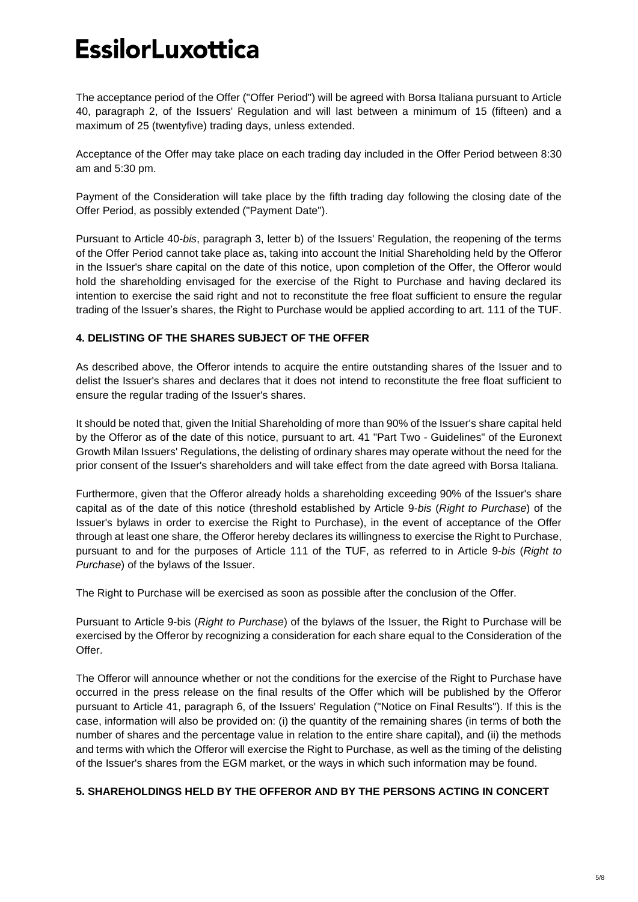The acceptance period of the Offer ("Offer Period") will be agreed with Borsa Italiana pursuant to Article 40, paragraph 2, of the Issuers' Regulation and will last between a minimum of 15 (fifteen) and a maximum of 25 (twentyfive) trading days, unless extended.

Acceptance of the Offer may take place on each trading day included in the Offer Period between 8:30 am and 5:30 pm.

Payment of the Consideration will take place by the fifth trading day following the closing date of the Offer Period, as possibly extended ("Payment Date").

Pursuant to Article 40-*bis*, paragraph 3, letter b) of the Issuers' Regulation, the reopening of the terms of the Offer Period cannot take place as, taking into account the Initial Shareholding held by the Offeror in the Issuer's share capital on the date of this notice, upon completion of the Offer, the Offeror would hold the shareholding envisaged for the exercise of the Right to Purchase and having declared its intention to exercise the said right and not to reconstitute the free float sufficient to ensure the regular trading of the Issuer's shares, the Right to Purchase would be applied according to art. 111 of the TUF.

### **4. DELISTING OF THE SHARES SUBJECT OF THE OFFER**

As described above, the Offeror intends to acquire the entire outstanding shares of the Issuer and to delist the Issuer's shares and declares that it does not intend to reconstitute the free float sufficient to ensure the regular trading of the Issuer's shares.

It should be noted that, given the Initial Shareholding of more than 90% of the Issuer's share capital held by the Offeror as of the date of this notice, pursuant to art. 41 "Part Two - Guidelines" of the Euronext Growth Milan Issuers' Regulations, the delisting of ordinary shares may operate without the need for the prior consent of the Issuer's shareholders and will take effect from the date agreed with Borsa Italiana.

Furthermore, given that the Offeror already holds a shareholding exceeding 90% of the Issuer's share capital as of the date of this notice (threshold established by Article 9-*bis* (*Right to Purchase*) of the Issuer's bylaws in order to exercise the Right to Purchase), in the event of acceptance of the Offer through at least one share, the Offeror hereby declares its willingness to exercise the Right to Purchase, pursuant to and for the purposes of Article 111 of the TUF, as referred to in Article 9-*bis* (*Right to Purchase*) of the bylaws of the Issuer.

The Right to Purchase will be exercised as soon as possible after the conclusion of the Offer.

Pursuant to Article 9-bis (*Right to Purchase*) of the bylaws of the Issuer, the Right to Purchase will be exercised by the Offeror by recognizing a consideration for each share equal to the Consideration of the Offer.

The Offeror will announce whether or not the conditions for the exercise of the Right to Purchase have occurred in the press release on the final results of the Offer which will be published by the Offeror pursuant to Article 41, paragraph 6, of the Issuers' Regulation ("Notice on Final Results"). If this is the case, information will also be provided on: (i) the quantity of the remaining shares (in terms of both the number of shares and the percentage value in relation to the entire share capital), and (ii) the methods and terms with which the Offeror will exercise the Right to Purchase, as well as the timing of the delisting of the Issuer's shares from the EGM market, or the ways in which such information may be found.

### **5. SHAREHOLDINGS HELD BY THE OFFEROR AND BY THE PERSONS ACTING IN CONCERT**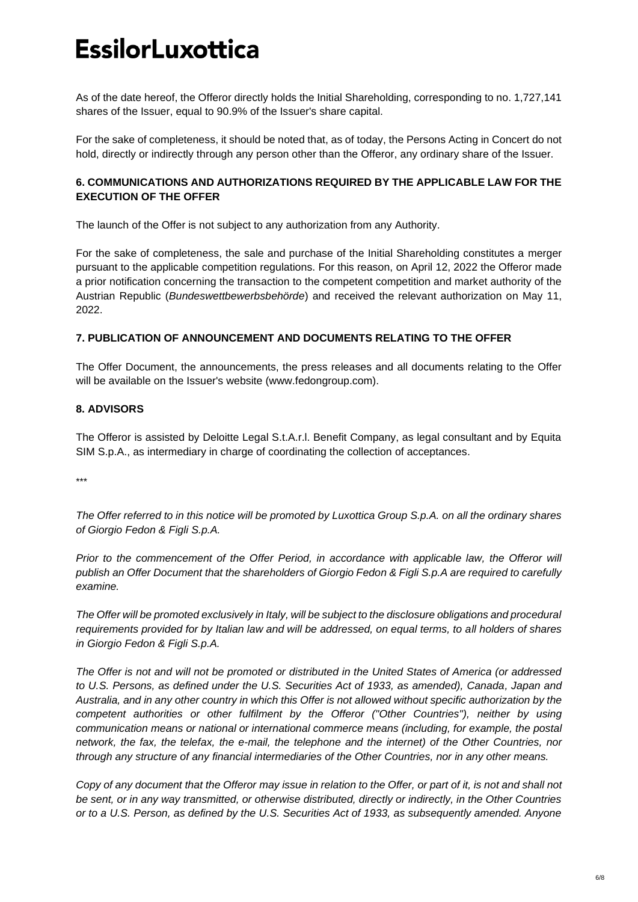As of the date hereof, the Offeror directly holds the Initial Shareholding, corresponding to no. 1,727,141 shares of the Issuer, equal to 90.9% of the Issuer's share capital.

For the sake of completeness, it should be noted that, as of today, the Persons Acting in Concert do not hold, directly or indirectly through any person other than the Offeror, any ordinary share of the Issuer.

### **6. COMMUNICATIONS AND AUTHORIZATIONS REQUIRED BY THE APPLICABLE LAW FOR THE EXECUTION OF THE OFFER**

The launch of the Offer is not subject to any authorization from any Authority.

For the sake of completeness, the sale and purchase of the Initial Shareholding constitutes a merger pursuant to the applicable competition regulations. For this reason, on April 12, 2022 the Offeror made a prior notification concerning the transaction to the competent competition and market authority of the Austrian Republic (*Bundeswettbewerbsbehörde*) and received the relevant authorization on May 11, 2022.

### **7. PUBLICATION OF ANNOUNCEMENT AND DOCUMENTS RELATING TO THE OFFER**

The Offer Document, the announcements, the press releases and all documents relating to the Offer will be available on the Issuer's website (www.fedongroup.com).

## **8. ADVISORS**

The Offeror is assisted by Deloitte Legal S.t.A.r.l. Benefit Company, as legal consultant and by Equita SIM S.p.A., as intermediary in charge of coordinating the collection of acceptances.

\*\*\*

*The Offer referred to in this notice will be promoted by Luxottica Group S.p.A. on all the ordinary shares of Giorgio Fedon & Figli S.p.A.*

*Prior to the commencement of the Offer Period, in accordance with applicable law, the Offeror will publish an Offer Document that the shareholders of Giorgio Fedon & Figli S.p.A are required to carefully examine.*

*The Offer will be promoted exclusively in Italy, will be subject to the disclosure obligations and procedural requirements provided for by Italian law and will be addressed, on equal terms, to all holders of shares in Giorgio Fedon & Figli S.p.A.*

*The Offer is not and will not be promoted or distributed in the United States of America (or addressed to U.S. Persons, as defined under the U.S. Securities Act of 1933, as amended), Canada, Japan and Australia, and in any other country in which this Offer is not allowed without specific authorization by the competent authorities or other fulfilment by the Offeror ("Other Countries"), neither by using communication means or national or international commerce means (including, for example, the postal network, the fax, the telefax, the e-mail, the telephone and the internet) of the Other Countries, nor through any structure of any financial intermediaries of the Other Countries, nor in any other means.*

*Copy of any document that the Offeror may issue in relation to the Offer, or part of it, is not and shall not be sent, or in any way transmitted, or otherwise distributed, directly or indirectly, in the Other Countries or to a U.S. Person, as defined by the U.S. Securities Act of 1933, as subsequently amended. Anyone*